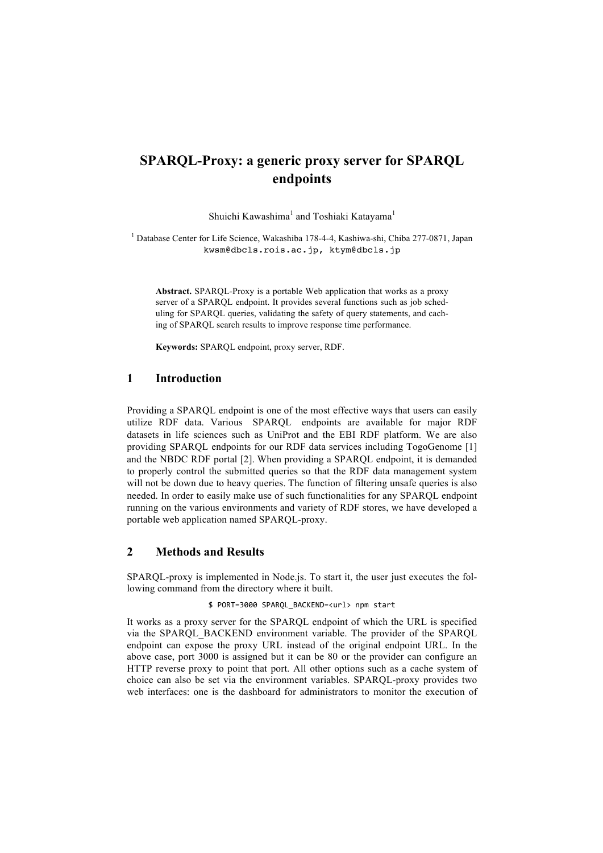# **SPARQL-Proxy: a generic proxy server for SPARQL endpoints**

Shuichi Kawashima<sup>1</sup> and Toshiaki Katayama<sup>1</sup>

<sup>1</sup> Database Center for Life Science, Wakashiba 178-4-4, Kashiwa-shi, Chiba 277-0871, Japan kwsm@dbcls.rois.ac.jp, ktym@dbcls.jp

**Abstract.** SPARQL-Proxy is a portable Web application that works as a proxy server of a SPARQL endpoint. It provides several functions such as job scheduling for SPARQL queries, validating the safety of query statements, and caching of SPARQL search results to improve response time performance.

**Keywords:** SPARQL endpoint, proxy server, RDF.

### **1 Introduction**

Providing a SPARQL endpoint is one of the most effective ways that users can easily utilize RDF data. Various SPARQL endpoints are available for major RDF datasets in life sciences such as UniProt and the EBI RDF platform. We are also providing SPARQL endpoints for our RDF data services including TogoGenome [1] and the NBDC RDF portal [2]. When providing a SPARQL endpoint, it is demanded to properly control the submitted queries so that the RDF data management system will not be down due to heavy queries. The function of filtering unsafe queries is also needed. In order to easily make use of such functionalities for any SPARQL endpoint running on the various environments and variety of RDF stores, we have developed a portable web application named SPARQL-proxy.

## **2 Methods and Results**

SPARQL-proxy is implemented in Node.js. To start it, the user just executes the following command from the directory where it built.

#### \$ PORT=3000 SPARQL\_BACKEND=<url> npm start

It works as a proxy server for the SPARQL endpoint of which the URL is specified via the SPARQL\_BACKEND environment variable. The provider of the SPARQL endpoint can expose the proxy URL instead of the original endpoint URL. In the above case, port 3000 is assigned but it can be 80 or the provider can configure an HTTP reverse proxy to point that port. All other options such as a cache system of choice can also be set via the environment variables. SPARQL-proxy provides two web interfaces: one is the dashboard for administrators to monitor the execution of